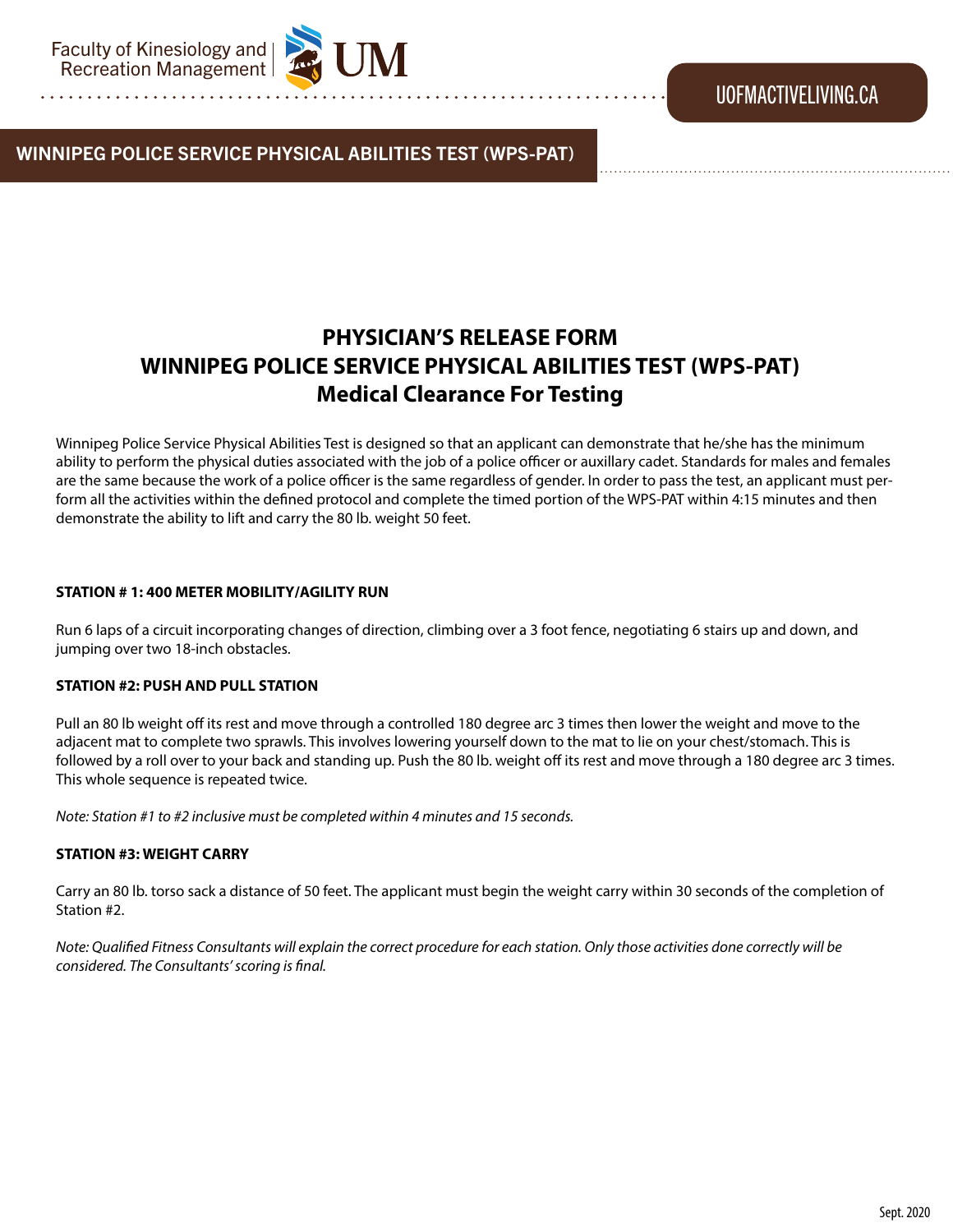### WINNIPEG POLICE SERVICE PHYSICAL ABILITIES TEST (WPS-PAT)

## **PHYSICIAN'S RELEASE FORM WINNIPEG POLICE SERVICE PHYSICAL ABILITIES TEST (WPS-PAT) Medical Clearance For Testing**

Winnipeg Police Service Physical Abilities Test is designed so that an applicant can demonstrate that he/she has the minimum ability to perform the physical duties associated with the job of a police officer or auxillary cadet. Standards for males and females are the same because the work of a police officer is the same regardless of gender. In order to pass the test, an applicant must perform all the activities within the defined protocol and complete the timed portion of the WPS-PAT within 4:15 minutes and then demonstrate the ability to lift and carry the 80 lb. weight 50 feet.

#### **STATION # 1: 400 METER MOBILITY/AGILITY RUN**

Run 6 laps of a circuit incorporating changes of direction, climbing over a 3 foot fence, negotiating 6 stairs up and down, and jumping over two 18-inch obstacles.

#### **STATION #2: PUSH AND PULL STATION**

Pull an 80 lb weight off its rest and move through a controlled 180 degree arc 3 times then lower the weight and move to the adjacent mat to complete two sprawls. This involves lowering yourself down to the mat to lie on your chest/stomach. This is followed by a roll over to your back and standing up. Push the 80 lb. weight off its rest and move through a 180 degree arc 3 times. This whole sequence is repeated twice.

*Note: Station #1 to #2 inclusive must be completed within 4 minutes and 15 seconds.*

#### **STATION #3: WEIGHT CARRY**

Carry an 80 lb. torso sack a distance of 50 feet. The applicant must begin the weight carry within 30 seconds of the completion of Station #2.

*Note: Qualified Fitness Consultants will explain the correct procedure for each station. Only those activities done correctly will be considered. The Consultants' scoring is final.*